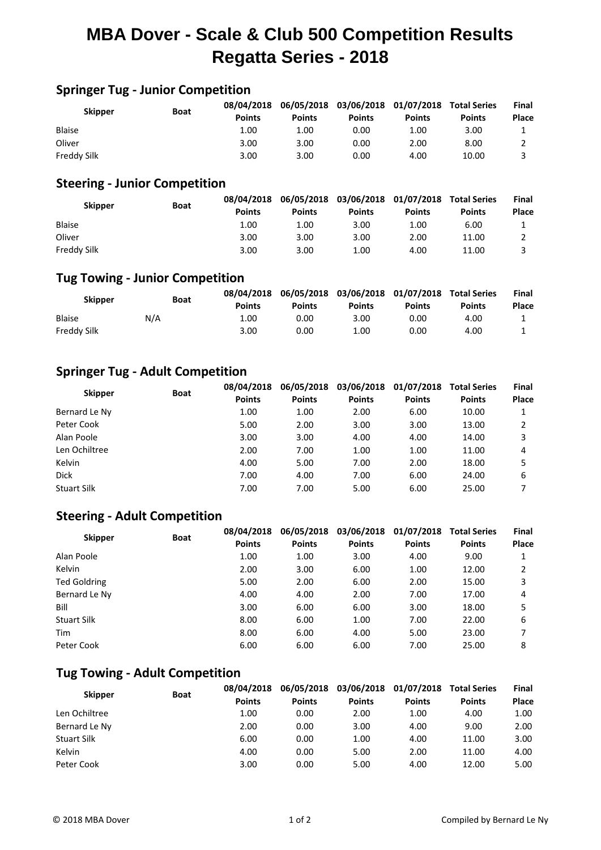## **MBA Dover - Scale & Club 500 Competition Results Regatta Series - 2018**

## **Springer Tug - Junior Competition**

| <b>Skipper</b> | <b>Boat</b> |               |               | 08/04/2018 06/05/2018 03/06/2018 01/07/2018 Total Series |               |               | Final |
|----------------|-------------|---------------|---------------|----------------------------------------------------------|---------------|---------------|-------|
|                |             | <b>Points</b> | <b>Points</b> | <b>Points</b>                                            | <b>Points</b> | <b>Points</b> | Place |
| <b>Blaise</b>  |             | 1.00          | 1.00          | 0.00                                                     | 1.00          | 3.00          |       |
| Oliver         |             | 3.00          | 3.00          | 0.00                                                     | 2.00          | 8.00          |       |
| Freddy Silk    |             | 3.00          | 3.00          | 0.00                                                     | 4.00          | 10.00         |       |

#### **Steering - Junior Competition**

| <b>Skipper</b>     | <b>Boat</b> | 08/04/2018<br><b>Points</b> | <b>Points</b> | 06/05/2018 03/06/2018 01/07/2018<br><b>Points</b> | <b>Points</b> | <b>Total Series</b><br><b>Points</b> | <b>Final</b><br><b>Place</b> |
|--------------------|-------------|-----------------------------|---------------|---------------------------------------------------|---------------|--------------------------------------|------------------------------|
| <b>Blaise</b>      |             | 1.00                        | 1.00          | 3.00                                              | 1.00          | 6.00                                 |                              |
| Oliver             |             | 3.00                        | 3.00          | 3.00                                              | 2.00          | 11.00                                |                              |
| <b>Freddy Silk</b> |             | 3.00                        | 3.00          | 1.00                                              | 4.00          | 11.00                                |                              |

## **Tug Towing - Junior Competition**

| <b>Skipper</b> | <b>Boat</b> | <b>Points</b> | 08/04/2018 06/05/2018 03/06/2018 01/07/2018 Total Series<br><b>Points</b> | <b>Points</b> | <b>Points</b> | <b>Points</b> | Final<br>Place |
|----------------|-------------|---------------|---------------------------------------------------------------------------|---------------|---------------|---------------|----------------|
| <b>Blaise</b>  | N/A         | 1.00          | 0.00                                                                      | 3.00          | 0.00          | 4.00          |                |
| Freddy Silk    |             | 3.00          | 0.00                                                                      | 1.00          | 0.00          | 4.00          |                |

## **Springer Tug - Adult Competition**

| <b>Skipper</b>     | <b>Boat</b> | 08/04/2018    | 06/05/2018    | 03/06/2018    | 01/07/2018    | <b>Total Series</b> | Final |
|--------------------|-------------|---------------|---------------|---------------|---------------|---------------------|-------|
|                    |             | <b>Points</b> | <b>Points</b> | <b>Points</b> | <b>Points</b> | <b>Points</b>       | Place |
| Bernard Le Ny      |             | 1.00          | 1.00          | 2.00          | 6.00          | 10.00               |       |
| Peter Cook         |             | 5.00          | 2.00          | 3.00          | 3.00          | 13.00               | 2     |
| Alan Poole         |             | 3.00          | 3.00          | 4.00          | 4.00          | 14.00               | 3     |
| Len Ochiltree      |             | 2.00          | 7.00          | 1.00          | 1.00          | 11.00               | 4     |
| Kelvin             |             | 4.00          | 5.00          | 7.00          | 2.00          | 18.00               | 5     |
| <b>Dick</b>        |             | 7.00          | 4.00          | 7.00          | 6.00          | 24.00               | 6     |
| <b>Stuart Silk</b> |             | 7.00          | 7.00          | 5.00          | 6.00          | 25.00               |       |

#### **Steering - Adult Competition**

| <b>Skipper</b>      | <b>Boat</b> | 08/04/2018<br><b>Points</b> | 06/05/2018<br><b>Points</b> | 03/06/2018<br><b>Points</b> | 01/07/2018<br><b>Points</b> | <b>Total Series</b><br><b>Points</b> | Final<br>Place |
|---------------------|-------------|-----------------------------|-----------------------------|-----------------------------|-----------------------------|--------------------------------------|----------------|
| Alan Poole          |             | 1.00                        | 1.00                        | 3.00                        | 4.00                        | 9.00                                 |                |
| Kelvin              |             | 2.00                        | 3.00                        | 6.00                        | 1.00                        | 12.00                                | 2              |
| <b>Ted Goldring</b> |             | 5.00                        | 2.00                        | 6.00                        | 2.00                        | 15.00                                | 3              |
| Bernard Le Ny       |             | 4.00                        | 4.00                        | 2.00                        | 7.00                        | 17.00                                | 4              |
| Bill                |             | 3.00                        | 6.00                        | 6.00                        | 3.00                        | 18.00                                | 5              |
| <b>Stuart Silk</b>  |             | 8.00                        | 6.00                        | 1.00                        | 7.00                        | 22.00                                | 6              |
| Tim                 |             | 8.00                        | 6.00                        | 4.00                        | 5.00                        | 23.00                                |                |
| Peter Cook          |             | 6.00                        | 6.00                        | 6.00                        | 7.00                        | 25.00                                | 8              |

### **Tug Towing - Adult Competition**

| <b>Skipper</b>     | <b>Boat</b> | 08/04/2018<br><b>Points</b> | <b>Points</b> | 06/05/2018 03/06/2018 01/07/2018<br><b>Points</b> | <b>Points</b> | <b>Total Series</b><br><b>Points</b> | Final<br>Place |
|--------------------|-------------|-----------------------------|---------------|---------------------------------------------------|---------------|--------------------------------------|----------------|
| Len Ochiltree      |             | 1.00                        | 0.00          | 2.00                                              | 1.00          | 4.00                                 | 1.00           |
| Bernard Le Ny      |             | 2.00                        | 0.00          | 3.00                                              | 4.00          | 9.00                                 | 2.00           |
| <b>Stuart Silk</b> |             | 6.00                        | 0.00          | 1.00                                              | 4.00          | 11.00                                | 3.00           |
| Kelvin             |             | 4.00                        | 0.00          | 5.00                                              | 2.00          | 11.00                                | 4.00           |
| Peter Cook         |             | 3.00                        | 0.00          | 5.00                                              | 4.00          | 12.00                                | 5.00           |